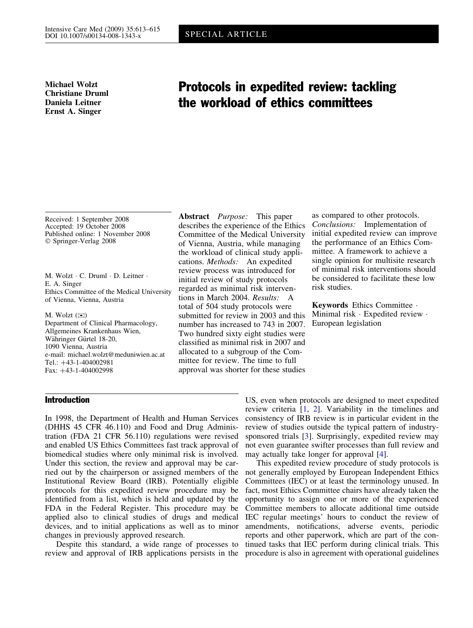Michael Wolzt Christiane Druml Daniela Leitner Ernst A. Singer

# Protocols in expedited review: tackling the workload of ethics committees

Received: 1 September 2008 Accepted: 19 October 2008 Published online: 1 November 2008 Springer-Verlag 2008

M. Wolzt · C. Druml · D. Leitner · E. A. Singer Ethics Committee of the Medical University of Vienna, Vienna, Austria

M. Wolzt  $(\mathbb{Z})$ Department of Clinical Pharmacology, Allgemeines Krankenhaus Wien, Währinger Gürtel 18-20, 1090 Vienna, Austria e-mail: michael.wolzt@meduniwien.ac.at Tel.:  $+43-1-404002981$ Fax:  $+43-1-404002998$ 

Abstract Purpose: This paper describes the experience of the Ethics Committee of the Medical University of Vienna, Austria, while managing the workload of clinical study applications. Methods: An expedited review process was introduced for initial review of study protocols regarded as minimal risk interventions in March 2004. Results: A total of 504 study protocols were submitted for review in 2003 and this number has increased to 743 in 2007. Two hundred sixty eight studies were classified as minimal risk in 2007 and allocated to a subgroup of the Committee for review. The time to full approval was shorter for these studies

as compared to other protocols. Conclusions: Implementation of initial expedited review can improve the performance of an Ethics Committee. A framework to achieve a single opinion for multisite research of minimal risk interventions should be considered to facilitate these low risk studies.

Keywords Ethics Committee . Minimal risk · Expedited review · European legislation

### Introduction

In 1998, the Department of Health and Human Services (DHHS 45 CFR 46.110) and Food and Drug Administration (FDA 21 CFR 56.110) regulations were revised and enabled US Ethics Committees fast track approval of biomedical studies where only minimal risk is involved. Under this section, the review and approval may be carried out by the chairperson or assigned members of the Institutional Review Board (IRB). Potentially eligible protocols for this expedited review procedure may be identified from a list, which is held and updated by the FDA in the Federal Register. This procedure may be applied also to clinical studies of drugs and medical devices, and to initial applications as well as to minor changes in previously approved research.

Despite this standard, a wide range of processes to review and approval of IRB applications persists in the

US, even when protocols are designed to meet expedited review criteria [\[1,](#page-2-0) [2\]](#page-2-0). Variability in the timelines and consistency of IRB review is in particular evident in the review of studies outside the typical pattern of industry-sponsored trials [[3](#page-2-0)]. Surprisingly, expedited review may not even guarantee swifter processes than full review and may actually take longer for approval [[4](#page-2-0)].

This expedited review procedure of study protocols is not generally employed by European Independent Ethics Committees (IEC) or at least the terminology unused. In fact, most Ethics Committee chairs have already taken the opportunity to assign one or more of the experienced Committee members to allocate additional time outside IEC regular meetings' hours to conduct the review of amendments, notifications, adverse events, periodic reports and other paperwork, which are part of the continued tasks that IEC perform during clinical trials. This procedure is also in agreement with operational guidelines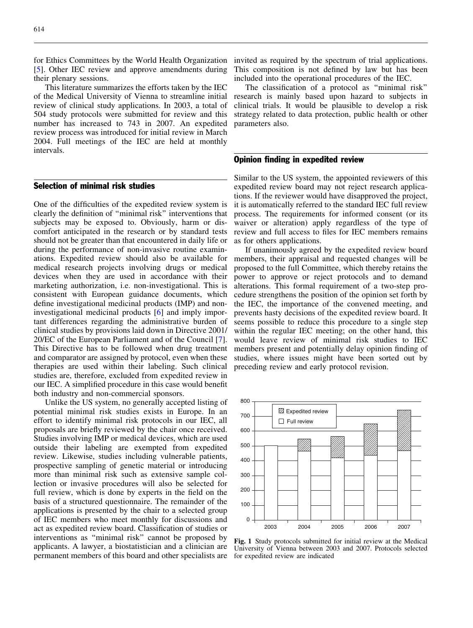<span id="page-1-0"></span>for Ethics Committees by the World Health Organization [\[5](#page-2-0)]. Other IEC review and approve amendments during their plenary sessions.

This literature summarizes the efforts taken by the IEC of the Medical University of Vienna to streamline initial review of clinical study applications. In 2003, a total of 504 study protocols were submitted for review and this number has increased to 743 in 2007. An expedited review process was introduced for initial review in March 2004. Full meetings of the IEC are held at monthly intervals.

#### Selection of minimal risk studies

One of the difficulties of the expedited review system is clearly the definition of ''minimal risk'' interventions that subjects may be exposed to. Obviously, harm or discomfort anticipated in the research or by standard tests should not be greater than that encountered in daily life or during the performance of non-invasive routine examinations. Expedited review should also be available for medical research projects involving drugs or medical devices when they are used in accordance with their marketing authorization, i.e. non-investigational. This is consistent with European guidance documents, which define investigational medicinal products (IMP) and noninvestigational medicinal products [\[6\]](#page-2-0) and imply important differences regarding the administrative burden of clinical studies by provisions laid down in Directive 2001/ 20/EC of the European Parliament and of the Council [[7](#page-2-0)]. This Directive has to be followed when drug treatment and comparator are assigned by protocol, even when these therapies are used within their labeling. Such clinical studies are, therefore, excluded from expedited review in our IEC. A simplified procedure in this case would benefit both industry and non-commercial sponsors.

Unlike the US system, no generally accepted listing of potential minimal risk studies exists in Europe. In an effort to identify minimal risk protocols in our IEC, all proposals are briefly reviewed by the chair once received. Studies involving IMP or medical devices, which are used outside their labeling are exempted from expedited review. Likewise, studies including vulnerable patients, prospective sampling of genetic material or introducing more than minimal risk such as extensive sample collection or invasive procedures will also be selected for full review, which is done by experts in the field on the basis of a structured questionnaire. The remainder of the applications is presented by the chair to a selected group of IEC members who meet monthly for discussions and act as expedited review board. Classification of studies or interventions as ''minimal risk'' cannot be proposed by applicants. A lawyer, a biostatistician and a clinician are permanent members of this board and other specialists are invited as required by the spectrum of trial applications. This composition is not defined by law but has been included into the operational procedures of the IEC.

The classification of a protocol as ''minimal risk'' research is mainly based upon hazard to subjects in clinical trials. It would be plausible to develop a risk strategy related to data protection, public health or other parameters also.

#### Opinion finding in expedited review

Similar to the US system, the appointed reviewers of this expedited review board may not reject research applications. If the reviewer would have disapproved the project, it is automatically referred to the standard IEC full review process. The requirements for informed consent (or its waiver or alteration) apply regardless of the type of review and full access to files for IEC members remains as for others applications.

If unanimously agreed by the expedited review board members, their appraisal and requested changes will be proposed to the full Committee, which thereby retains the power to approve or reject protocols and to demand alterations. This formal requirement of a two-step procedure strengthens the position of the opinion set forth by the IEC, the importance of the convened meeting, and prevents hasty decisions of the expedited review board. It seems possible to reduce this procedure to a single step within the regular IEC meeting; on the other hand, this would leave review of minimal risk studies to IEC members present and potentially delay opinion finding of studies, where issues might have been sorted out by preceding review and early protocol revision.



Fig. 1 Study protocols submitted for initial review at the Medical University of Vienna between 2003 and 2007. Protocols selected for expedited review are indicated